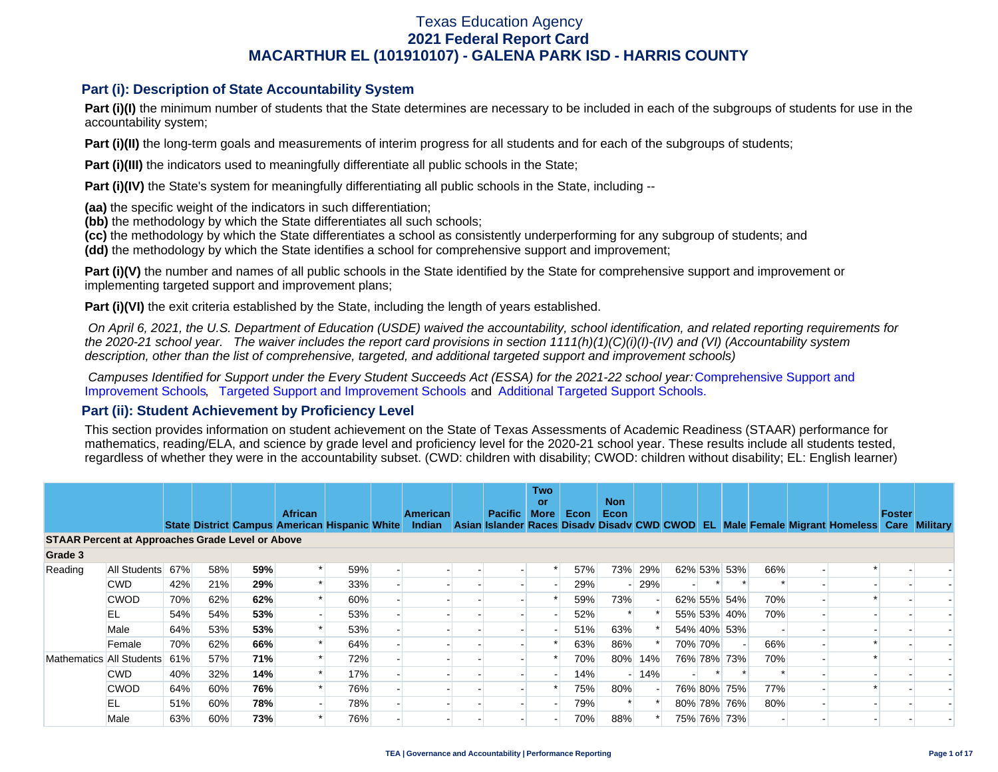### **Part (i): Description of State Accountability System**

Part (i)(I) the minimum number of students that the State determines are necessary to be included in each of the subgroups of students for use in the accountability system;

**Part (i)(II)** the long-term goals and measurements of interim progress for all students and for each of the subgroups of students;

**Part (i)(III)** the indicators used to meaningfully differentiate all public schools in the State;

**Part (i)(IV)** the State's system for meaningfully differentiating all public schools in the State, including --

**(aa)** the specific weight of the indicators in such differentiation;

**(bb)** the methodology by which the State differentiates all such schools;

**(cc)** the methodology by which the State differentiates a school as consistently underperforming for any subgroup of students; and

**(dd)** the methodology by which the State identifies a school for comprehensive support and improvement;

**Part (i)(V)** the number and names of all public schools in the State identified by the State for comprehensive support and improvement or implementing targeted support and improvement plans;

**Part (i)(VI)** the exit criteria established by the State, including the length of years established.

 *On April 6, 2021, the U.S. Department of Education (USDE) waived the accountability, school identification, and related reporting requirements for the 2020-21 school year. The waiver includes the report card provisions in section 1111(h)(1)(C)(i)(I)-(IV) and (VI) (Accountability system description, other than the list of comprehensive, targeted, and additional targeted support and improvement schools)* 

*Campuses Identified for Support under the Every Student Succeeds Act (ESSA) for the 2021-22 school year:* [Comprehensive Support and](https://tea.texas.gov/sites/default/files/comprehensive_support_2021.xlsx) [Improvement Schools](https://tea.texas.gov/sites/default/files/comprehensive_support_2021.xlsx), [Targeted Support and Improvement Schools](https://tea.texas.gov/sites/default/files/targeted_support_2021.xlsx) and [Additional Targeted Support Schools.](https://tea.texas.gov/sites/default/files/additional_targeted_support_2021.xlsx)

### **Part (ii): Student Achievement by Proficiency Level**

This section provides information on student achievement on the State of Texas Assessments of Academic Readiness (STAAR) performance for mathematics, reading/ELA, and science by grade level and proficiency level for the 2020-21 school year. These results include all students tested, regardless of whether they were in the accountability subset. (CWD: children with disability; CWOD: children without disability; EL: English learner)

|                                                         |              |     |     |     | <b>African</b> |                                               |  | American |  | <b>Pacific</b> | <b>Two</b><br>or<br><b>More</b> | Econ | <b>Non</b><br>Econ |         |         |             |     |                                                                                           | Foster |  |
|---------------------------------------------------------|--------------|-----|-----|-----|----------------|-----------------------------------------------|--|----------|--|----------------|---------------------------------|------|--------------------|---------|---------|-------------|-----|-------------------------------------------------------------------------------------------|--------|--|
|                                                         |              |     |     |     |                | State District Campus American Hispanic White |  | Indian   |  |                |                                 |      |                    |         |         |             |     | Asian Islander Races Disady Disady CWD CWOD EL Male Female Migrant Homeless Care Military |        |  |
| <b>STAAR Percent at Approaches Grade Level or Above</b> |              |     |     |     |                |                                               |  |          |  |                |                                 |      |                    |         |         |             |     |                                                                                           |        |  |
| Grade 3                                                 |              |     |     |     |                |                                               |  |          |  |                |                                 |      |                    |         |         |             |     |                                                                                           |        |  |
| Reading                                                 | All Students | 67% | 58% | 59% |                | 59%                                           |  |          |  |                |                                 | 57%  |                    | 73% 29% |         | 62% 53% 53% | 66% |                                                                                           |        |  |
|                                                         | <b>CWD</b>   | 42% | 21% | 29% |                | 33%                                           |  |          |  |                |                                 | 29%  |                    | 29%     |         |             |     |                                                                                           |        |  |
|                                                         | <b>CWOD</b>  | 70% | 62% | 62% |                | 60%                                           |  |          |  |                |                                 | 59%  | 73%                |         |         | 62% 55% 54% | 70% |                                                                                           |        |  |
|                                                         | EL           | 54% | 54% | 53% |                | 53%                                           |  |          |  |                |                                 | 52%  |                    |         |         | 55% 53% 40% | 70% |                                                                                           |        |  |
|                                                         | Male         | 64% | 53% | 53% |                | 53%                                           |  |          |  |                |                                 | 51%  | 63%                |         |         | 54% 40% 53% |     |                                                                                           |        |  |
|                                                         | Female       | 70% | 62% | 66% |                | 64%                                           |  |          |  |                |                                 | 63%  | 86%                |         | 70% 70% |             | 66% |                                                                                           |        |  |
| Mathematics All Students                                |              | 61% | 57% | 71% |                | 72%                                           |  |          |  |                |                                 | 70%  | 80%                | 14%     |         | 76% 78% 73% | 70% |                                                                                           |        |  |
|                                                         | <b>CWD</b>   | 40% | 32% | 14% |                | 17%                                           |  |          |  |                |                                 | 14%  |                    | $-14%$  |         |             |     |                                                                                           |        |  |
|                                                         | <b>CWOD</b>  | 64% | 60% | 76% |                | 76%                                           |  |          |  |                |                                 | 75%  | 80%                |         |         | 76% 80% 75% | 77% |                                                                                           |        |  |
|                                                         | EL           | 51% | 60% | 78% |                | 78%                                           |  |          |  |                |                                 | 79%  |                    |         |         | 80% 78% 76% | 80% |                                                                                           |        |  |
|                                                         | Male         | 63% | 60% | 73% |                | 76%                                           |  |          |  |                |                                 | 70%  | 88%                |         |         | 75% 76% 73% |     |                                                                                           |        |  |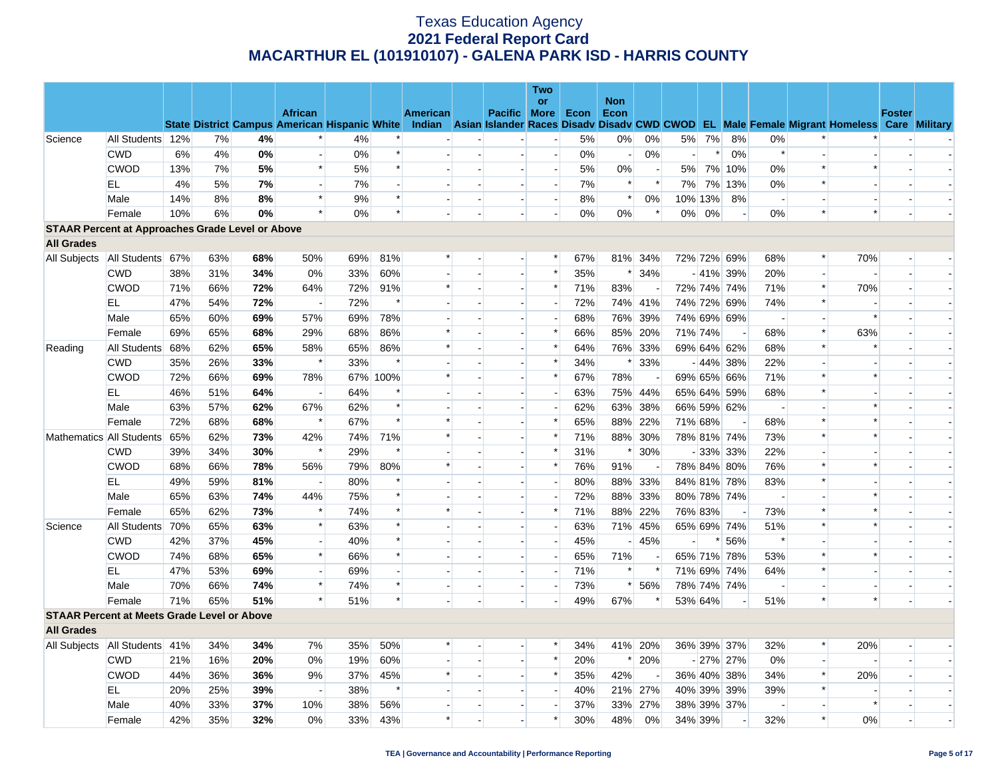|                                                         |                  |     |     |     |                          |     |          |          |                          |                          | <b>Two</b>               |      |                          |                          |                |                              |             |                          |        |                                                                                                                                                |               |  |
|---------------------------------------------------------|------------------|-----|-----|-----|--------------------------|-----|----------|----------|--------------------------|--------------------------|--------------------------|------|--------------------------|--------------------------|----------------|------------------------------|-------------|--------------------------|--------|------------------------------------------------------------------------------------------------------------------------------------------------|---------------|--|
|                                                         |                  |     |     |     | <b>African</b>           |     |          | American |                          | Pacific More             | or                       | Econ | <b>Non</b><br>Econ       |                          |                |                              |             |                          |        |                                                                                                                                                | <b>Foster</b> |  |
|                                                         |                  |     |     |     |                          |     |          |          |                          |                          |                          |      |                          |                          |                |                              |             |                          |        | State District Campus American Hispanic White Indian Asian Islander Races Disady Disady CWD CWOD EL Male Female Migrant Homeless Care Military |               |  |
| Science                                                 | All Students 12% |     | 7%  | 4%  | $\ast$                   | 4%  |          |          |                          |                          |                          | 5%   | $0\%$                    | 0%                       | 5%             | 7%                           | 8%          | 0%                       |        |                                                                                                                                                |               |  |
|                                                         | <b>CWD</b>       | 6%  | 4%  | 0%  |                          | 0%  | $\ast$   |          |                          |                          | $\overline{\phantom{a}}$ | 0%   | $\overline{\phantom{a}}$ | 0%                       | $\overline{a}$ | $\left\vert \ast\right\vert$ | 0%          | $\ast$                   |        |                                                                                                                                                |               |  |
|                                                         | <b>CWOD</b>      | 13% | 7%  | 5%  | $\ast$                   | 5%  | $\ast$   |          |                          |                          | $\overline{\phantom{a}}$ | 5%   | 0%                       | $\overline{\phantom{a}}$ |                |                              | 5% 7% 10%   | $0\%$                    | $\ast$ | $\ast$                                                                                                                                         |               |  |
|                                                         | ΕL               | 4%  | 5%  | 7%  | $\sim$                   | 7%  |          |          |                          |                          | $\overline{\phantom{a}}$ | 7%   | $\ast$                   | $\ast$                   | 7%             |                              | 7% 13%      | 0%                       | $\ast$ |                                                                                                                                                |               |  |
|                                                         | Male             | 14% | 8%  | 8%  | $\ast$                   | 9%  | $\ast$   |          |                          |                          | $\overline{\phantom{a}}$ | 8%   | $\ast$                   | 0%                       |                | 10% 13%                      | 8%          | $\overline{\phantom{a}}$ |        |                                                                                                                                                |               |  |
|                                                         | Female           | 10% | 6%  | 0%  | $\ast$                   | 0%  | $\ast$   |          |                          |                          |                          | 0%   | $0\%$                    | $\ast$                   |                | $0\%$ 0%                     |             | 0%                       | $\ast$ | $\ast$                                                                                                                                         |               |  |
| <b>STAAR Percent at Approaches Grade Level or Above</b> |                  |     |     |     |                          |     |          |          |                          |                          |                          |      |                          |                          |                |                              |             |                          |        |                                                                                                                                                |               |  |
| <b>All Grades</b>                                       |                  |     |     |     |                          |     |          |          |                          |                          |                          |      |                          |                          |                |                              |             |                          |        |                                                                                                                                                |               |  |
| All Subjects   All Students 67%                         |                  |     | 63% | 68% | 50%                      | 69% | 81%      | $\ast$   |                          |                          | $\ast$                   | 67%  |                          | 81% 34%                  |                |                              | 72% 72% 69% | 68%                      | $\ast$ | 70%                                                                                                                                            |               |  |
|                                                         | <b>CWD</b>       | 38% | 31% | 34% | 0%                       | 33% | 60%      |          |                          |                          | $\ast$                   | 35%  | $\ast$                   | 34%                      |                |                              | $-41\%$ 39% | 20%                      |        |                                                                                                                                                |               |  |
|                                                         | <b>CWOD</b>      | 71% | 66% | 72% | 64%                      | 72% | 91%      | $\ast$   |                          | $\overline{\phantom{a}}$ | $\ast$                   | 71%  | 83%                      | $\overline{a}$           |                |                              | 72% 74% 74% | 71%                      | $\ast$ | 70%                                                                                                                                            |               |  |
|                                                         | EL               | 47% | 54% | 72% | $\overline{\phantom{a}}$ | 72% | $\ast$   |          |                          |                          |                          | 72%  |                          | 74% 41%                  |                |                              | 74% 72% 69% | 74%                      | $\ast$ |                                                                                                                                                |               |  |
|                                                         | Male             | 65% | 60% | 69% | 57%                      | 69% | 78%      |          |                          | $\overline{a}$           | $\overline{a}$           | 68%  |                          | 76% 39%                  |                |                              | 74% 69% 69% | $\overline{\phantom{a}}$ |        | $\ast$                                                                                                                                         |               |  |
|                                                         | Female           | 69% | 65% | 68% | 29%                      | 68% | 86%      | $\ast$   |                          |                          | $\ast$                   | 66%  |                          | 85% 20%                  | 71% 74%        |                              |             | 68%                      | $\ast$ | 63%                                                                                                                                            |               |  |
| Reading                                                 | All Students 68% |     | 62% | 65% | 58%                      | 65% | 86%      | $\ast$   |                          | $\overline{a}$           | $\ast$                   | 64%  |                          | 76% 33%                  |                |                              | 69% 64% 62% | 68%                      | $\ast$ |                                                                                                                                                |               |  |
|                                                         | <b>CWD</b>       | 35% | 26% | 33% | $\ast$                   | 33% | $\ast$   |          |                          |                          | $\ast$                   | 34%  |                          | $* 33%$                  |                |                              | $-44\%$ 38% | 22%                      |        |                                                                                                                                                |               |  |
|                                                         | <b>CWOD</b>      | 72% | 66% | 69% | 78%                      |     | 67% 100% | $\ast$   |                          |                          | $\ast$                   | 67%  | 78%                      |                          |                |                              | 69% 65% 66% | 71%                      | $\ast$ |                                                                                                                                                |               |  |
|                                                         | EL               | 46% | 51% | 64% |                          | 64% | $\ast$   |          |                          |                          | $\overline{a}$           | 63%  |                          | 75% 44%                  |                |                              | 65% 64% 59% | 68%                      | $\ast$ |                                                                                                                                                |               |  |
|                                                         | Male             | 63% | 57% | 62% | 67%                      | 62% | $\ast$   |          |                          | $\overline{a}$           |                          | 62%  | 63%                      | 38%                      |                |                              | 66% 59% 62% | $\overline{\phantom{a}}$ |        |                                                                                                                                                |               |  |
|                                                         | Female           | 72% | 68% | 68% | $\ast$                   | 67% | $\ast$   | $\ast$   |                          |                          | $\ast$                   | 65%  |                          | 88% 22%                  | 71% 68%        |                              |             | 68%                      | $\ast$ | $\ast$                                                                                                                                         |               |  |
| Mathematics All Students 65%                            |                  |     | 62% | 73% | 42%                      | 74% | 71%      | $\ast$   |                          |                          | $\ast$                   | 71%  |                          | 88% 30%                  |                |                              | 78% 81% 74% | 73%                      | $\ast$ |                                                                                                                                                |               |  |
|                                                         | <b>CWD</b>       | 39% | 34% | 30% | $\ast$                   | 29% | $\ast$   |          |                          |                          | $\ast$                   | 31%  | $\ast$                   | 30%                      |                |                              | $-33\%$ 33% | 22%                      |        |                                                                                                                                                |               |  |
|                                                         | <b>CWOD</b>      | 68% | 66% | 78% | 56%                      | 79% | 80%      | $\ast$   |                          |                          | $\ast$                   | 76%  | 91%                      |                          |                |                              | 78% 84% 80% | 76%                      | $\ast$ |                                                                                                                                                |               |  |
|                                                         | EL               | 49% | 59% | 81% | $\overline{\phantom{a}}$ | 80% | $\ast$   |          |                          | $\blacksquare$           |                          | 80%  |                          | 88% 33%                  |                |                              | 84% 81% 78% | 83%                      | $\ast$ |                                                                                                                                                |               |  |
|                                                         | Male             | 65% | 63% | 74% | 44%                      | 75% | $\ast$   |          |                          |                          | $\overline{\phantom{a}}$ | 72%  |                          | 88% 33%                  |                |                              | 80% 78% 74% | $\sim$                   |        | $\ast$                                                                                                                                         |               |  |
|                                                         | Female           | 65% | 62% | 73% | $\ast$                   | 74% | $\ast$   |          |                          |                          | $\ast$                   | 71%  | 88%                      | 22%                      | 76% 83%        |                              |             | 73%                      | $\ast$ |                                                                                                                                                |               |  |
| Science                                                 | All Students 70% |     | 65% | 63% | $\ast$                   | 63% | $\ast$   |          |                          |                          |                          | 63%  |                          | 71% 45%                  |                |                              | 65% 69% 74% | 51%                      | $\ast$ | $\ast$                                                                                                                                         |               |  |
|                                                         | <b>CWD</b>       | 42% | 37% | 45% | $\overline{\phantom{a}}$ | 40% | $\ast$   |          |                          | $\overline{\phantom{a}}$ |                          | 45%  |                          | 45%                      |                |                              | * 56%       | $\ast$                   |        |                                                                                                                                                |               |  |
|                                                         | <b>CWOD</b>      | 74% | 68% | 65% | $\ast$                   | 66% | $\ast$   |          |                          | $\overline{\phantom{a}}$ | $\overline{a}$           | 65%  | 71%                      | $\overline{\phantom{a}}$ |                |                              | 65% 71% 78% | 53%                      | $\ast$ | $\ast$                                                                                                                                         |               |  |
|                                                         | EL.              | 47% | 53% | 69% |                          | 69% |          |          |                          |                          |                          | 71%  | $\ast$                   | $\ast$                   |                |                              | 71% 69% 74% | 64%                      | $\ast$ |                                                                                                                                                |               |  |
|                                                         | Male             | 70% | 66% | 74% | $\ast$                   | 74% | $\ast$   |          | $\overline{\phantom{a}}$ | $\overline{a}$           |                          | 73%  | $\ast$                   | 56%                      |                |                              | 78% 74% 74% | $\overline{\phantom{a}}$ |        |                                                                                                                                                |               |  |
|                                                         | Female           | 71% | 65% | 51% | $\ast$                   | 51% | $\ast$   |          |                          |                          |                          | 49%  | 67%                      | $\ast$                   | 53% 64%        |                              |             | 51%                      | $\ast$ | $\ast$                                                                                                                                         |               |  |
| <b>STAAR Percent at Meets Grade Level or Above</b>      |                  |     |     |     |                          |     |          |          |                          |                          |                          |      |                          |                          |                |                              |             |                          |        |                                                                                                                                                |               |  |
| <b>All Grades</b>                                       |                  |     |     |     |                          |     |          |          |                          |                          |                          |      |                          |                          |                |                              |             |                          |        |                                                                                                                                                |               |  |
| All Subjects   All Students   41%                       |                  |     | 34% | 34% | 7%                       | 35% | 50%      |          |                          |                          | *                        | 34%  |                          | 41% 20%                  |                |                              | 36% 39% 37% | 32%                      | $\ast$ | 20%                                                                                                                                            |               |  |
|                                                         | <b>CWD</b>       | 21% | 16% | 20% | 0%                       | 19% | 60%      |          |                          | $\overline{a}$           | $\ast$                   | 20%  | $\ast$                   | 20%                      |                |                              | $-27\%$ 27% | 0%                       |        |                                                                                                                                                |               |  |
|                                                         | <b>CWOD</b>      | 44% | 36% | 36% | 9%                       | 37% | 45%      | $\ast$   |                          |                          | $\ast$                   | 35%  | 42%                      |                          |                |                              | 36% 40% 38% | 34%                      | $\ast$ | 20%                                                                                                                                            |               |  |
|                                                         | EL.              | 20% | 25% | 39% | $\overline{\phantom{a}}$ | 38% | $\ast$   |          |                          |                          |                          | 40%  |                          | 21% 27%                  |                |                              | 40% 39% 39% | 39%                      | $\ast$ |                                                                                                                                                |               |  |
|                                                         | Male             | 40% | 33% | 37% | 10%                      | 38% | 56%      |          |                          |                          |                          | 37%  |                          | 33% 27%                  |                |                              | 38% 39% 37% |                          |        | $\ast$                                                                                                                                         |               |  |
|                                                         | Female           | 42% | 35% | 32% | 0%                       | 33% | 43%      | $\ast$   |                          |                          | $\ast$                   | 30%  | 48%                      | 0%                       | 34% 39%        |                              |             | 32%                      | $\ast$ | 0%                                                                                                                                             |               |  |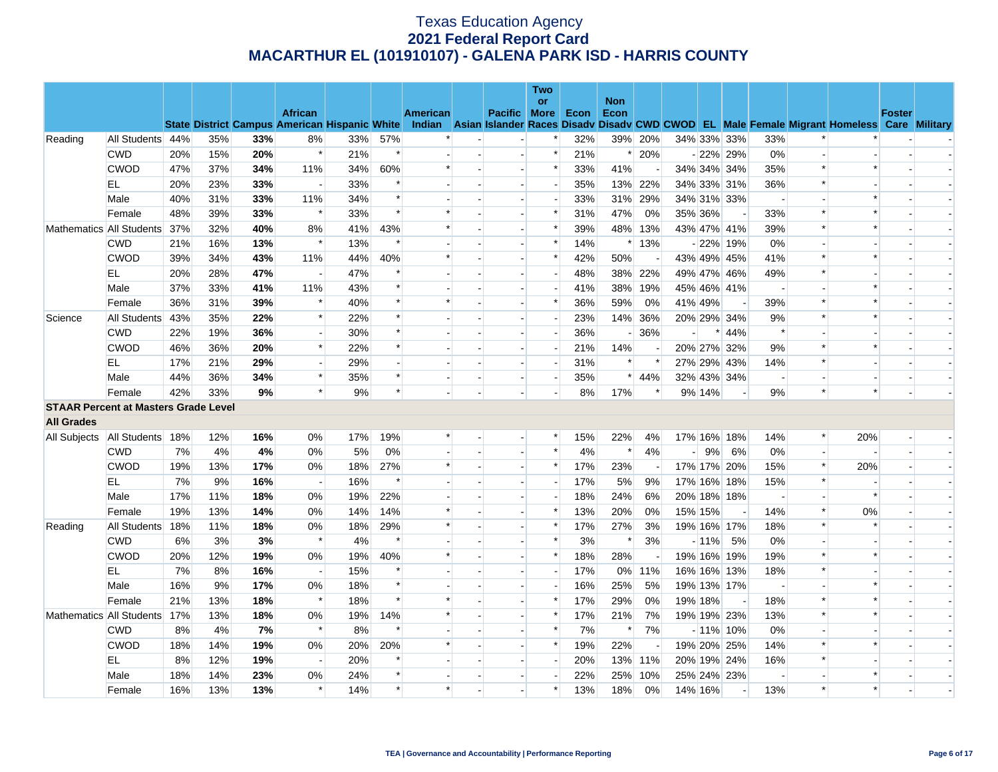|                                             |                          |     |     |     |                          |                                                      |        |                 |                          | <b>Two</b>               |      |                          |                          |         |                          |                          |                          |                                                                                                  |               |  |
|---------------------------------------------|--------------------------|-----|-----|-----|--------------------------|------------------------------------------------------|--------|-----------------|--------------------------|--------------------------|------|--------------------------|--------------------------|---------|--------------------------|--------------------------|--------------------------|--------------------------------------------------------------------------------------------------|---------------|--|
|                                             |                          |     |     |     | <b>African</b>           |                                                      |        | <b>American</b> | Pacific More             | or                       | Econ | <b>Non</b><br>Econ       |                          |         |                          |                          |                          |                                                                                                  | <b>Foster</b> |  |
|                                             |                          |     |     |     |                          | <b>State District Campus American Hispanic White</b> |        |                 |                          |                          |      |                          |                          |         |                          |                          |                          | Indian Asian Islander Races Disady Disady CWD CWOD EL Male Female Migrant Homeless Care Military |               |  |
| Reading                                     | All Students 44%         |     | 35% | 33% | 8%                       | 33%                                                  | 57%    |                 |                          |                          | 32%  |                          | 39% 20%                  |         | 34% 33% 33%              | 33%                      |                          |                                                                                                  |               |  |
|                                             | <b>CWD</b>               | 20% | 15% | 20% | $\ast$                   | 21%                                                  | $\ast$ |                 | $\overline{\phantom{a}}$ | $\ast$                   | 21%  |                          | * 20%                    |         | $-22\%$ 29%              | 0%                       | $\overline{\phantom{a}}$ |                                                                                                  |               |  |
|                                             | <b>CWOD</b>              | 47% | 37% | 34% | 11%                      | 34%                                                  | 60%    | $\ast$          |                          | $\ast$                   | 33%  | 41%                      |                          |         | 34% 34% 34%              | 35%                      | $\ast$                   | $\ast$                                                                                           |               |  |
|                                             | EL                       | 20% | 23% | 33% | $\overline{\phantom{a}}$ | 33%                                                  | $\ast$ |                 | $\overline{a}$           | $\overline{\phantom{a}}$ | 35%  |                          | 13% 22%                  |         | 34% 33% 31%              | 36%                      | $\ast$                   |                                                                                                  |               |  |
|                                             | Male                     | 40% | 31% | 33% | 11%                      | 34%                                                  | $\ast$ |                 |                          |                          | 33%  |                          | 31% 29%                  |         | 34% 31% 33%              |                          |                          |                                                                                                  |               |  |
|                                             | Female                   | 48% | 39% | 33% | $\ast$                   | 33%                                                  | $\ast$ |                 |                          | $\ast$                   | 31%  | 47%                      | 0%                       | 35% 36% |                          | 33%                      | $\ast$                   |                                                                                                  |               |  |
|                                             | Mathematics All Students | 37% | 32% | 40% | 8%                       | 41%                                                  | 43%    | $\ast$          | $\overline{\phantom{a}}$ | $\ast$                   | 39%  |                          | 48% 13%                  |         | 43% 47% 41%              | 39%                      | $\ast$                   | $\ast$                                                                                           |               |  |
|                                             | <b>CWD</b>               | 21% | 16% | 13% | $\ast$                   | 13%                                                  | $\ast$ |                 |                          | $\ast$                   | 14%  |                          | $*13%$                   |         | $-22\%$ 19%              | 0%                       |                          |                                                                                                  |               |  |
|                                             | <b>CWOD</b>              | 39% | 34% | 43% | 11%                      | 44%                                                  | 40%    | $\ast$          |                          | $\ast$                   | 42%  | 50%                      | $\overline{\phantom{a}}$ |         | 43% 49% 45%              | 41%                      | $\ast$                   | $\ast$                                                                                           |               |  |
|                                             | EL                       | 20% | 28% | 47% |                          | 47%                                                  | $\ast$ |                 |                          |                          | 48%  |                          | 38% 22%                  |         | 49% 47% 46%              | 49%                      | $\ast$                   |                                                                                                  |               |  |
|                                             | Male                     | 37% | 33% | 41% | 11%                      | 43%                                                  | $\ast$ |                 |                          | $\overline{\phantom{a}}$ | 41%  | 38%                      | 19%                      |         | 45% 46% 41%              | $\overline{\phantom{a}}$ |                          |                                                                                                  |               |  |
|                                             | Female                   | 36% | 31% | 39% | $\ast$                   | 40%                                                  | $\ast$ | $\ast$          |                          | $\ast$                   | 36%  | 59%                      | 0%                       | 41% 49% |                          | 39%                      | $\ast$                   |                                                                                                  |               |  |
| Science                                     | All Students             | 43% | 35% | 22% | $\ast$                   | 22%                                                  | $\ast$ |                 |                          |                          | 23%  |                          | 14% 36%                  |         | 20% 29% 34%              | 9%                       | $\ast$                   | $\ast$                                                                                           |               |  |
|                                             | <b>CWD</b>               | 22% | 19% | 36% | $\overline{a}$           | 30%                                                  | $\ast$ |                 |                          | $\overline{a}$           | 36%  | $\overline{\phantom{a}}$ | 36%                      |         | $* 44%$                  | $\ast$                   | $\overline{a}$           |                                                                                                  |               |  |
|                                             | <b>CWOD</b>              | 46% | 36% | 20% | $\ast$                   | 22%                                                  | $\ast$ |                 |                          |                          | 21%  | 14%                      |                          |         | 20% 27% 32%              | 9%                       | $\ast$                   | $\ast$                                                                                           |               |  |
|                                             | EL                       | 17% | 21% | 29% |                          | 29%                                                  |        |                 |                          | $\overline{a}$           | 31%  |                          | $\ast$                   |         | 27% 29% 43%              | 14%                      | $\ast$                   |                                                                                                  |               |  |
|                                             | Male                     | 44% | 36% | 34% | $\ast$                   | 35%                                                  | $\ast$ |                 | $\overline{\phantom{a}}$ | $\blacksquare$           | 35%  |                          | $* 44%$                  |         | 32% 43% 34%              | $\overline{\phantom{a}}$ | $\overline{\phantom{a}}$ |                                                                                                  |               |  |
|                                             | Female                   | 42% | 33% | 9%  | $\ast$                   | 9%                                                   | $\ast$ |                 |                          |                          | 8%   | 17%                      | $\ast$                   | 9% 14%  | $\overline{a}$           | 9%                       | $\ast$                   | $\ast$                                                                                           |               |  |
| <b>STAAR Percent at Masters Grade Level</b> |                          |     |     |     |                          |                                                      |        |                 |                          |                          |      |                          |                          |         |                          |                          |                          |                                                                                                  |               |  |
| <b>All Grades</b>                           |                          |     |     |     |                          |                                                      |        |                 |                          |                          |      |                          |                          |         |                          |                          |                          |                                                                                                  |               |  |
| All Subjects   All Students   18%           |                          |     | 12% | 16% | 0%                       | 17%                                                  | 19%    |                 | $\blacksquare$           | $\ast$                   | 15%  | 22%                      | 4%                       |         | 17% 16% 18%              | 14%                      | $\ast$                   | 20%                                                                                              |               |  |
|                                             | <b>CWD</b>               | 7%  | 4%  | 4%  | 0%                       | 5%                                                   | 0%     |                 |                          | $\ast$                   | 4%   | $\ast$                   | 4%                       | 9%      | 6%                       | 0%                       | $\blacksquare$           |                                                                                                  |               |  |
|                                             | <b>CWOD</b>              | 19% | 13% | 17% | 0%                       | 18%                                                  | 27%    | $\ast$          |                          | $\ast$                   | 17%  | 23%                      | $\overline{\phantom{a}}$ |         | 17% 17% 20%              | 15%                      | $\ast$                   | 20%                                                                                              |               |  |
|                                             | EL.                      | 7%  | 9%  | 16% | $\overline{\phantom{0}}$ | 16%                                                  | $\ast$ |                 |                          |                          | 17%  | 5%                       | 9%                       |         | 17% 16% 18%              | 15%                      | $\ast$                   |                                                                                                  |               |  |
|                                             | Male                     | 17% | 11% | 18% | 0%                       | 19%                                                  | 22%    |                 |                          |                          | 18%  | 24%                      | 6%                       |         | 20% 18% 18%              |                          | $\overline{\phantom{a}}$ | $\ast$                                                                                           |               |  |
|                                             | Female                   | 19% | 13% | 14% | 0%                       | 14%                                                  | 14%    |                 |                          | $\ast$                   | 13%  | 20%                      | 0%                       | 15% 15% |                          | 14%                      | $\ast$                   | 0%                                                                                               |               |  |
| Reading                                     | All Students             | 18% | 11% | 18% | 0%                       | 18%                                                  | 29%    |                 |                          | $\ast$                   | 17%  | 27%                      | 3%                       |         | 19% 16% 17%              | 18%                      | $\ast$                   | $\ast$                                                                                           |               |  |
|                                             | <b>CWD</b>               | 6%  | 3%  | 3%  | $\ast$                   | 4%                                                   | $\ast$ |                 |                          | $\ast$                   | 3%   | $\ast$                   | 3%                       | $-11%$  | 5%                       | 0%                       |                          |                                                                                                  |               |  |
|                                             | <b>CWOD</b>              | 20% | 12% | 19% | 0%                       | 19%                                                  | 40%    | ∗               | $\overline{\phantom{a}}$ | $\ast$                   | 18%  | 28%                      |                          |         | 19% 16% 19%              | 19%                      | $\ast$                   | $\ast$                                                                                           |               |  |
|                                             | EL                       | 7%  | 8%  | 16% | $\overline{\phantom{a}}$ | 15%                                                  | $\ast$ |                 |                          |                          | 17%  |                          | 0% 11%                   |         | 16% 16% 13%              | 18%                      | $\ast$                   |                                                                                                  |               |  |
|                                             | Male                     | 16% | 9%  | 17% | 0%                       | 18%                                                  | $\ast$ |                 |                          |                          | 16%  | 25%                      | 5%                       |         | 19% 13% 17%              | $\overline{\phantom{a}}$ |                          |                                                                                                  |               |  |
|                                             | Female                   | 21% | 13% | 18% | $\ast$                   | 18%                                                  | $\ast$ |                 | $\overline{\phantom{a}}$ | $\ast$                   | 17%  | 29%                      | 0%                       | 19% 18% |                          | 18%                      | $\ast$                   |                                                                                                  |               |  |
|                                             | Mathematics All Students | 17% | 13% | 18% | 0%                       | 19%                                                  | 14%    | $\ast$          |                          | $\ast$                   | 17%  | 21%                      | 7%                       |         | 19% 19% 23%              | 13%                      | $\ast$                   |                                                                                                  |               |  |
|                                             | <b>CWD</b>               | 8%  | 4%  | 7%  | $\ast$                   | 8%                                                   | $\ast$ |                 |                          | $\ast$                   | 7%   | $\ast$                   | 7%                       |         | $-11\%$ 10%              | 0%                       | $\overline{a}$           |                                                                                                  |               |  |
|                                             | <b>CWOD</b>              | 18% | 14% | 19% | 0%                       | 20%                                                  | 20%    |                 |                          | $\ast$                   | 19%  | 22%                      |                          |         | 19% 20% 25%              | 14%                      | $\ast$                   |                                                                                                  |               |  |
|                                             | EL                       | 8%  | 12% | 19% | $\blacksquare$           | 20%                                                  | $\ast$ |                 |                          | $\overline{\phantom{a}}$ | 20%  |                          | 13% 11%                  |         | 20% 19% 24%              | 16%                      | $\ast$                   |                                                                                                  |               |  |
|                                             | Male                     | 18% | 14% | 23% | 0%                       | 24%                                                  | $\ast$ |                 |                          |                          | 22%  | 25%                      | 10%                      |         | 25% 24% 23%              | $\overline{\phantom{a}}$ |                          |                                                                                                  |               |  |
|                                             | Female                   | 16% | 13% | 13% | $\ast$                   | 14%                                                  | $\ast$ | $\ast$          |                          | $\ast$                   | 13%  | 18%                      | 0%                       | 14% 16% | $\overline{\phantom{a}}$ | 13%                      | $\ast$                   | $\ast$                                                                                           |               |  |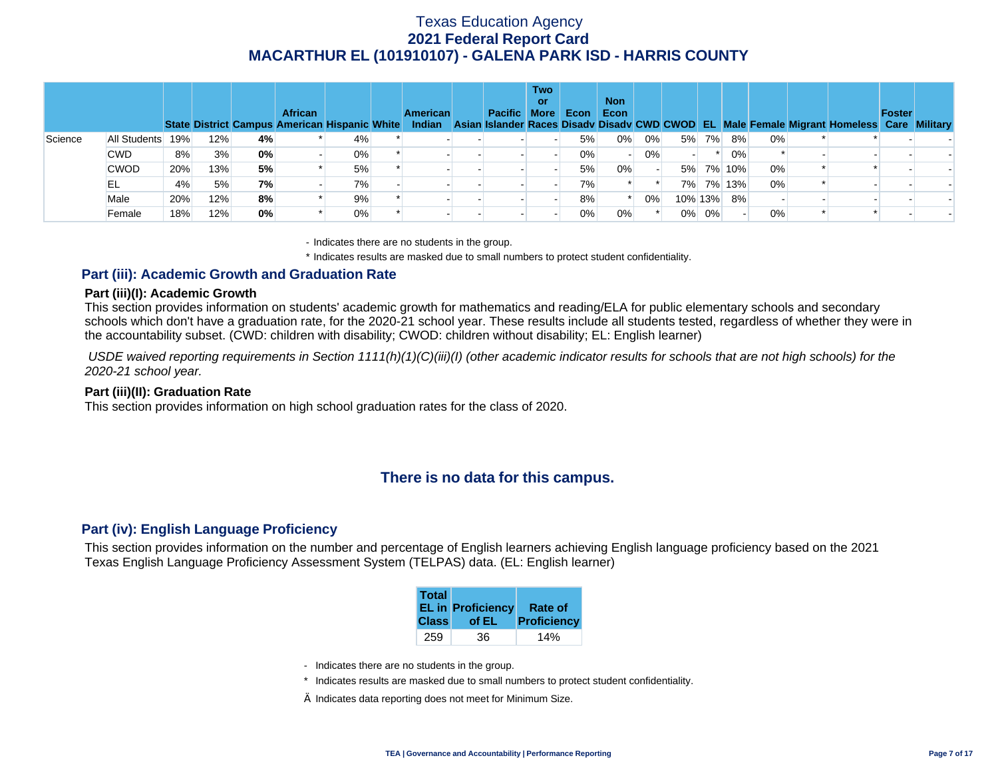|         |              |     |     |    | <b>African</b><br><b>State District Campus American Hispanic White</b> |       | <b>American</b> | Pacific More | <b>Two</b><br>or | Econ  | <b>Non</b><br>Econ |       |       |         |           |    | Indian Asian Islander Races Disady Disady CWD CWOD EL Male Female Migrant Homeless Care Military | Foster |  |
|---------|--------------|-----|-----|----|------------------------------------------------------------------------|-------|-----------------|--------------|------------------|-------|--------------------|-------|-------|---------|-----------|----|--------------------------------------------------------------------------------------------------|--------|--|
| Science | All Students | 19% | 12% | 4% |                                                                        | 4%    |                 |              |                  | 5%    | 0%                 | 0%    |       | 5% 7%   | 8%        | 0% |                                                                                                  |        |  |
|         | <b>CWD</b>   | 8%  | 3%  | 0% |                                                                        | $0\%$ |                 |              |                  | $0\%$ |                    | $0\%$ |       |         | 0%        |    |                                                                                                  |        |  |
|         | <b>CWOD</b>  | 20% | 13% | 5% |                                                                        | 5%    |                 |              |                  | 5%    | 0%                 |       |       |         | 5% 7% 10% | 0% |                                                                                                  |        |  |
|         | EL           | 4%  | 5%  | 7% |                                                                        | 7%    |                 |              |                  | 7%    |                    |       |       |         | 7% 7% 13% | 0% |                                                                                                  |        |  |
|         | Male         | 20% | 12% | 8% |                                                                        | 9%    |                 |              |                  | 8%    |                    | 0%    |       | 10% 13% | 8%        |    |                                                                                                  |        |  |
|         | Female       | 18% | 12% | 0% |                                                                        | 0%    |                 |              |                  | 0%    | 0%                 |       | $0\%$ | 0%      |           | 0% |                                                                                                  |        |  |

- Indicates there are no students in the group.

\* Indicates results are masked due to small numbers to protect student confidentiality.

### **Part (iii): Academic Growth and Graduation Rate**

#### **Part (iii)(I): Academic Growth**

This section provides information on students' academic growth for mathematics and reading/ELA for public elementary schools and secondary schools which don't have a graduation rate, for the 2020-21 school year. These results include all students tested, regardless of whether they were in the accountability subset. (CWD: children with disability; CWOD: children without disability; EL: English learner)

 *USDE waived reporting requirements in Section 1111(h)(1)(C)(iii)(I) (other academic indicator results for schools that are not high schools) for the 2020-21 school year.* 

#### **Part (iii)(II): Graduation Rate**

This section provides information on high school graduation rates for the class of 2020.

## **There is no data for this campus.**

### **Part (iv): English Language Proficiency**

This section provides information on the number and percentage of English learners achieving English language proficiency based on the 2021 Texas English Language Proficiency Assessment System (TELPAS) data. (EL: English learner)

| <b>Total</b> | <b>EL in Proficiency</b> | <b>Rate of</b> |
|--------------|--------------------------|----------------|
| <b>Class</b> | of EL                    | Proficiency    |
| 259          | 36                       |                |

- Indicates there are no students in the group.
- \* Indicates results are masked due to small numbers to protect student confidentiality.
- $\diamond$  Indicates data reporting does not meet for Minimum Size.